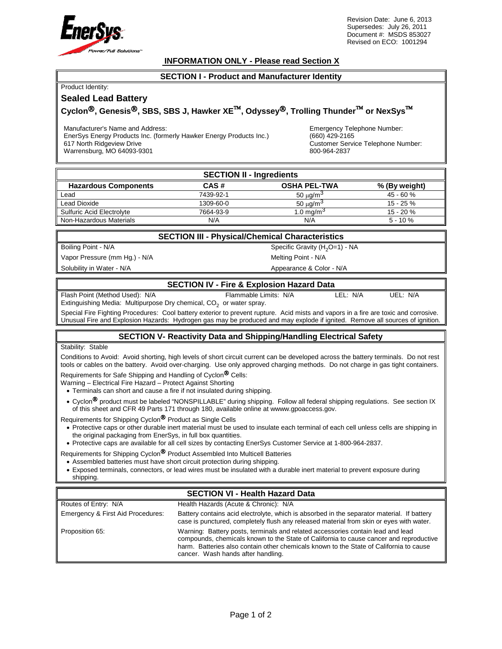

Revision Date: June 6, 2013 Supersedes: July 26, 2011 Document #: MSDS 853027 Revised on ECO: 1001294

### **INFORMATION ONLY - Please read Section X**

#### **SECTION I - Product and Manufacturer Identity**

| Product Identity: |  |
|-------------------|--|

## **Sealed Lead Battery**

# $Cyclon<sup>®</sup>$ , Genesis<sup>®</sup>, SBS, SBS J, Hawker XE<sup>™</sup>, Odyssey<sup>®</sup>, Trolling Thunder<sup>™</sup> or NexSys<sup>™</sup>

Manufacturer's Name and Address:

EnerSys Energy Products Inc. (formerly Hawker Energy Products Inc.) 617 North Ridgeview Drive

Warrensburg, MO 64093-9301

Emergency Telephone Number: (660) 429-2165 Customer Service Telephone Number: 800-964-2837

| <b>SECTION II - Ingredients</b> |           |                       |               |  |
|---------------------------------|-----------|-----------------------|---------------|--|
| <b>Hazardous Components</b>     | CAS#      | <b>OSHA PEL-TWA</b>   | % (By weight) |  |
| Lead                            | 7439-92-1 | 50 μg/m <sup>3</sup>  | 45 - 60 %     |  |
| Lead Dioxide                    | 1309-60-0 | 50 μg/m <sup>3</sup>  | $15 - 25 \%$  |  |
| Sulfuric Acid Electrolyte       | 7664-93-9 | 1.0 mg/m <sup>3</sup> | $15 - 20%$    |  |
| Non-Hazardous Materials         | N/A       | N/A                   | $5 - 10%$     |  |

### **SECTION III - Physical/Chemical Characteristics**

Vapor Pressure (mm Hg.) - N/A Melting Point - N/A

Solubility in Water - N/A **Appearance & Color - N/A** Appearance & Color - N/A

Boiling Point - N/A Specific Gravity (H<sub>2</sub>O=1) - NA

# **SECTION IV - Fire & Explosion Hazard Data**

Flash Point (Method Used): N/A Flammable Limits: N/A LEL: N/A UEL: N/A Extinguishing Media: Multipurpose Dry chemical, CO<sub>2</sub> or water spray.

Special Fire Fighting Procedures: Cool battery exterior to prevent rupture. Acid mists and vapors in a fire are toxic and corrosive. Unusual Fire and Explosion Hazards: Hydrogen gas may be produced and may explode if ignited. Remove all sources of ignition.

# **SECTION V- Reactivity Data and Shipping/Handling Electrical Safety**

#### Stability: Stable

Conditions to Avoid: Avoid shorting, high levels of short circuit current can be developed across the battery terminals. Do not rest tools or cables on the battery. Avoid over-charging. Use only approved charging methods. Do not charge in gas tight containers.

Requirements for Safe Shipping and Handling of Cyclon<sup>®</sup> Cells:

Warning – Electrical Fire Hazard – Protect Against Shorting

- Terminals can short and cause a fire if not insulated during shipping.
- Cyclon<sup>®</sup> product must be labeled "NONSPILLABLE" during shipping. Follow all federal shipping regulations. See section IX of this sheet and CFR 49 Parts 171 through 180, available online at wwww.gpoaccess.gov.

Requirements for Shipping Cyclon<sup>®</sup> Product as Single Cells

- Protective caps or other durable inert material must be used to insulate each terminal of each cell unless cells are shipping in the original packaging from EnerSys, in full box quantities.
- Protective caps are available for all cell sizes by contacting EnerSys Customer Service at 1-800-964-2837.

Requirements for Shipping Cyclon<sup>®</sup> Product Assembled Into Multicell Batteries

- Assembled batteries must have short circuit protection during shipping.
- Exposed terminals, connectors, or lead wires must be insulated with a durable inert material to prevent exposure during shipping.

# **SECTION VI - Health Hazard Data**

| Routes of Entry: N/A              | Health Hazards (Acute & Chronic): N/A                                                                                                                                                                                                                                                                     |
|-----------------------------------|-----------------------------------------------------------------------------------------------------------------------------------------------------------------------------------------------------------------------------------------------------------------------------------------------------------|
| Emergency & First Aid Procedures: | Battery contains acid electrolyte, which is absorbed in the separator material. If battery<br>case is punctured, completely flush any released material from skin or eyes with water.                                                                                                                     |
| Proposition 65:                   | Warning: Battery posts, terminals and related accessories contain lead and lead<br>compounds, chemicals known to the State of California to cause cancer and reproductive<br>harm. Batteries also contain other chemicals known to the State of California to cause<br>cancer. Wash hands after handling. |